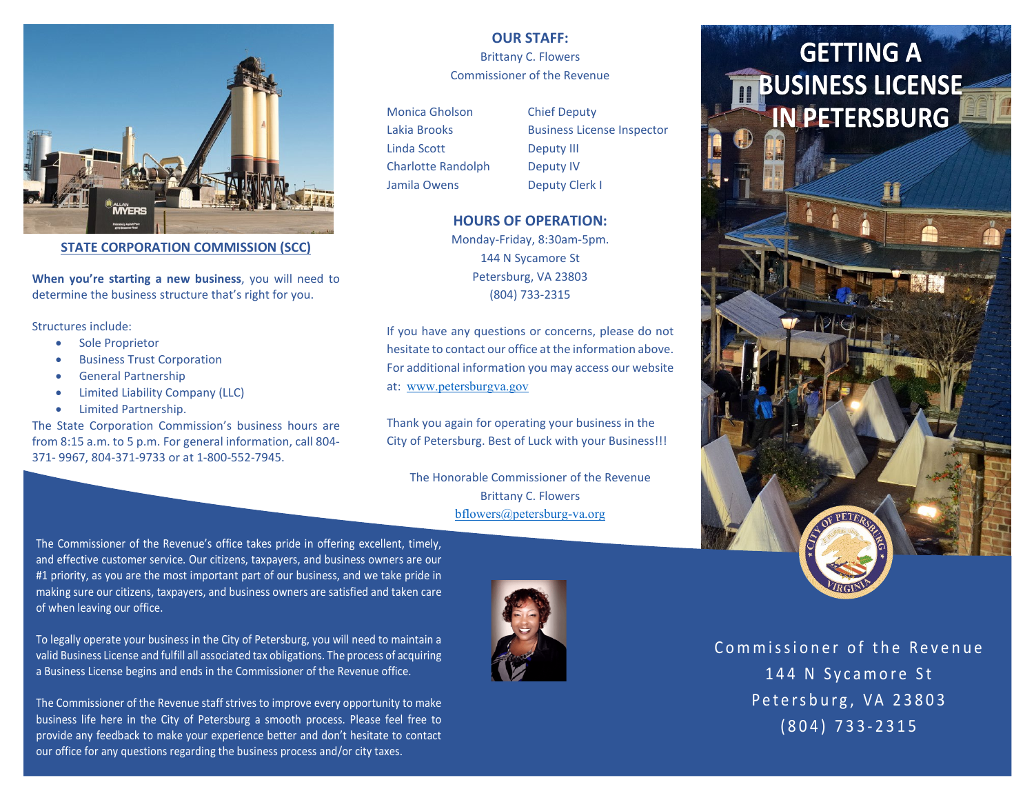

**STATE CORPORATION COMMISSION (SCC)**

**When you're starting a new business**, you will need to determine the business structure that's right for you.

Structures include:

- Sole Proprietor
- Business Trust Corporation
- General Partnership
- Limited Liability Company (LLC)
- Limited Partnership.

The State Corporation Commission's business hours are from 8:15 a.m. to 5 p.m. For general information, call 804- 371- 9967, 804-371-9733 or at 1-800-552-7945.

**OUR STAFF:**  Brittany C. Flowers Commissioner of the Revenue

Monica Gholson Chief Deputy Linda Scott Deputy III Charlotte Randolph Deputy IV Jamila Owens Deputy Clerk I

Lakia Brooks Business License Inspector

# **HOURS OF OPERATION:**

Monday-Friday, 8:30am-5pm. 144 N Sycamore St Petersburg, VA 23803 (804) 733-2315

If you have any questions or concerns, please do not hesitate to contact our office at the information above. For additional information you may access our website at: [www.petersburgva.gov](http://www.petersburgva.gov/)

Thank you again for operating your business in the City of Petersburg. Best of Luck with your Business!!!

The Honorable Commissioner of the Revenue Brittany C. Flowers [bflowers@petersburg-va.org](mailto:bflowers@petersburg-va.org)

The Commissioner of the Revenue's office takes pride in offering excellent, timely, and effective customer service. Our citizens, taxpayers, and business owners are our #1 priority, as you are the most important part of our business, and we take pride in making sure our citizens, taxpayers, and business owners are satisfied and taken care of when leaving our office.

To legally operate your business in the City of Petersburg, you will need to maintain a valid Business License and fulfill all associated tax obligations. The process of acquiring a Business License begins and ends in the Commissioner of the Revenue office.

The Commissioner of the Revenue staff strives to improve every opportunity to make business life here in the City of Petersburg a smooth process. Please feel free to provide any feedback to make your experience better and don't hesitate to contact our office for any questions regarding the business process and/or city taxes.



# **GETTING A BUSINESS LICENSE IN PETERSBURG**